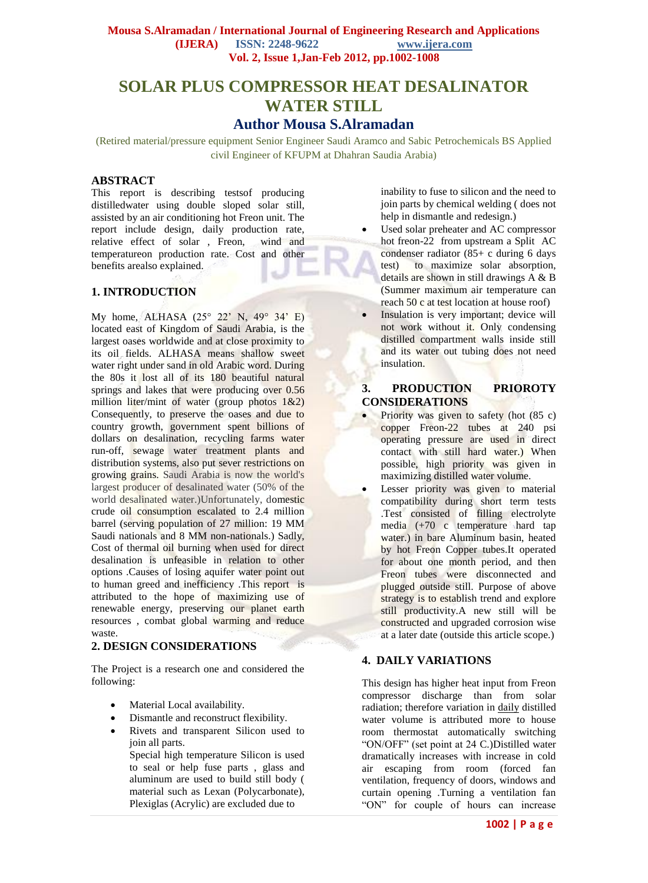# **SOLAR PLUS COMPRESSOR HEAT DESALINATOR WATER STILL**

## **Author Mousa S.Alramadan**

(Retired material/pressure equipment Senior Engineer Saudi Aramco and Sabic Petrochemicals BS Applied civil Engineer of KFUPM at Dhahran Saudia Arabia)

## **ABSTRACT**

This report is describing testsof producing distilledwater using double sloped solar still, assisted by an air conditioning hot Freon unit. The report include design, daily production rate,<br>relative effect of solar, Freon, wind and relative effect of solar, Freon, temperatureon production rate. Cost and other benefits arealso explained.

#### **1. INTRODUCTION**

My home, ALHASA (25° 22' N, 49° 34' E) located east of Kingdom of Saudi Arabia, is the largest oases worldwide and at close proximity to its oil fields. ALHASA means shallow sweet water right under sand in old Arabic word. During the 80s it lost all of its 180 beautiful natural springs and lakes that were producing over 0.56 million liter/mint of water (group photos 1&2) Consequently, to preserve the oases and due to country growth, government spent billions of dollars on desalination, recycling farms water run-off, sewage water treatment plants and distribution systems, also put sever restrictions on growing grains. Saudi Arabia is now the world's largest producer of desalinated water (50% of the world desalinated water.)Unfortunately, domestic crude oil consumption escalated to 2.4 million barrel (serving population of 27 million: 19 MM Saudi nationals and 8 MM non-nationals.) Sadly, Cost of thermal oil burning when used for direct desalination is unfeasible in relation to other options .Causes of losing aquifer water point out to human greed and inefficiency .This report is attributed to the hope of maximizing use of renewable energy, preserving our planet earth resources , combat global warming and reduce waste.

#### **2. DESIGN CONSIDERATIONS**

The Project is a research one and considered the following:

- Material Local availability.
- Dismantle and reconstruct flexibility.
- Rivets and transparent Silicon used to join all parts.

Special high temperature Silicon is used to seal or help fuse parts , glass and aluminum are used to build still body ( material such as Lexan (Polycarbonate), Plexiglas (Acrylic) are excluded due to

inability to fuse to silicon and the need to join parts by chemical welding ( does not help in dismantle and redesign.)

 Used solar preheater and AC compressor hot freon-22 from upstream a Split AC condenser radiator  $(85+)$  c during 6 days test) to maximize solar absorption, details are shown in still drawings A & B (Summer maximum air temperature can reach 50 c at test location at house roof)

 Insulation is very important; device will not work without it. Only condensing distilled compartment walls inside still and its water out tubing does not need insulation.

## **3. PRODUCTION PRIOROTY CONSIDERATIONS**

- Priority was given to safety (hot (85 c) copper Freon-22 tubes at 240 psi operating pressure are used in direct contact with still hard water.) When possible, high priority was given in maximizing distilled water volume.
- Lesser priority was given to material compatibility during short term tests .Test consisted of filling electrolyte media (+70 c temperature hard tap water.) in bare Aluminum basin, heated by hot Freon Copper tubes.It operated for about one month period, and then Freon tubes were disconnected and plugged outside still. Purpose of above strategy is to establish trend and explore still productivity.A new still will be constructed and upgraded corrosion wise at a later date (outside this article scope.)

#### **4. DAILY VARIATIONS**

This design has higher heat input from Freon compressor discharge than from solar radiation; therefore variation in daily distilled water volume is attributed more to house room thermostat automatically switching "ON/OFF" (set point at 24 C.)Distilled water dramatically increases with increase in cold air escaping from room (forced fan ventilation, frequency of doors, windows and curtain opening .Turning a ventilation fan "ON" for couple of hours can increase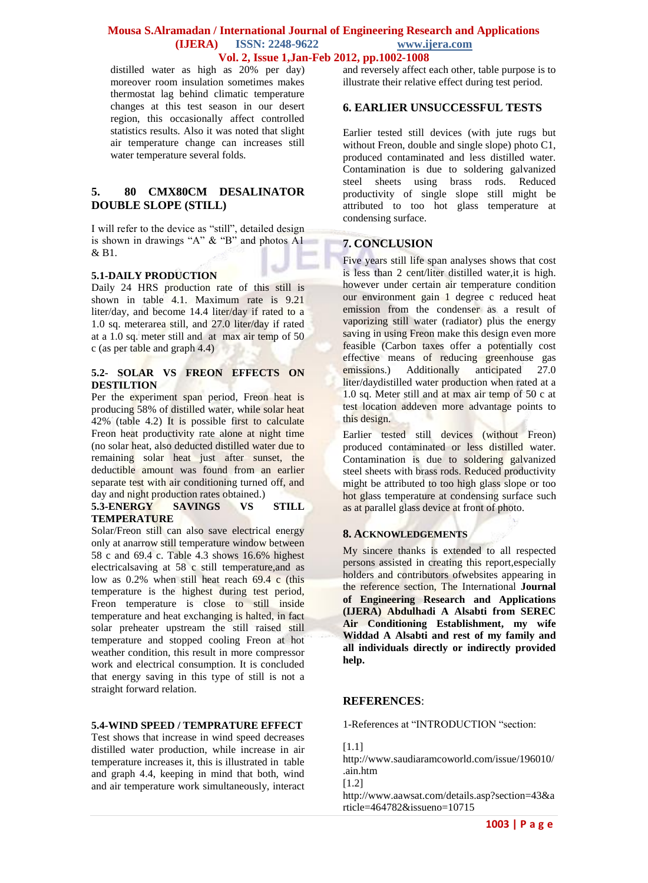distilled water as high as 20% per day) moreover room insulation sometimes makes thermostat lag behind climatic temperature changes at this test season in our desert region, this occasionally affect controlled statistics results. Also it was noted that slight air temperature change can increases still water temperature several folds.

## **5. 80 CMX80CM DESALINATOR DOUBLE SLOPE (STILL)**

I will refer to the device as "still", detailed design is shown in drawings "A" & "B" and photos A1 & B1.

#### **5.1-DAILY PRODUCTION**

Daily 24 HRS production rate of this still is shown in table 4.1. Maximum rate is 9.21 liter/day, and become 14.4 liter/day if rated to a 1.0 sq. meterarea still, and 27.0 liter/day if rated at a 1.0 sq. meter still and at max air temp of 50 c (as per table and graph 4.4)

#### **5.2- SOLAR VS FREON EFFECTS ON DESTILTION**

Per the experiment span period, Freon heat is producing 58% of distilled water, while solar heat 42% (table 4.2) It is possible first to calculate Freon heat productivity rate alone at night time (no solar heat, also deducted distilled water due to remaining solar heat just after sunset, the deductible amount was found from an earlier separate test with air conditioning turned off, and day and night production rates obtained.)

#### **5.3-ENERGY SAVINGS VS STILL TEMPERATURE**

Solar/Freon still can also save electrical energy only at anarrow still temperature window between 58 c and 69.4 c. Table 4.3 shows 16.6% highest electricalsaving at 58 c still temperature,and as low as 0.2% when still heat reach 69.4 c (this temperature is the highest during test period, Freon temperature is close to still inside temperature and heat exchanging is halted, in fact solar preheater upstream the still raised still temperature and stopped cooling Freon at hot weather condition, this result in more compressor work and electrical consumption. It is concluded that energy saving in this type of still is not a straight forward relation.

## **5.4-WIND SPEED / TEMPRATURE EFFECT**

Test shows that increase in wind speed decreases distilled water production, while increase in air temperature increases it, this is illustrated in table and graph 4.4, keeping in mind that both, wind and air temperature work simultaneously, interact and reversely affect each other, table purpose is to illustrate their relative effect during test period.

## **6. EARLIER UNSUCCESSFUL TESTS**

Earlier tested still devices (with jute rugs but without Freon, double and single slope) photo C1, produced contaminated and less distilled water. Contamination is due to soldering galvanized steel sheets using brass rods. Reduced productivity of single slope still might be attributed to too hot glass temperature at condensing surface.

## **7. CONCLUSION**

Five years still life span analyses shows that cost is less than 2 cent/liter distilled water,it is high. however under certain air temperature condition our environment gain 1 degree c reduced heat emission from the condenser as a result of vaporizing still water (radiator) plus the energy saving in using Freon make this design even more feasible (Carbon taxes offer a potentially cost effective means of reducing greenhouse gas<br>emissions.) Additionally anticipated 27.0 emissions.) Additionally anticipated 27.0 liter/daydistilled water production when rated at a 1.0 sq. Meter still and at max air temp of 50 c at test location addeven more advantage points to this design.

Earlier tested still devices (without Freon) produced contaminated or less distilled water. Contamination is due to soldering galvanized steel sheets with brass rods. Reduced productivity might be attributed to too high glass slope or too hot glass temperature at condensing surface such as at parallel glass device at front of photo.

## **8. ACKNOWLEDGEMENTS**

My sincere thanks is extended to all respected persons assisted in creating this report,especially holders and contributors ofwebsites appearing in the reference section, The International **Journal of Engineering Research and Applications (IJERA) Abdulhadi A Alsabti from SEREC Air Conditioning Establishment, my wife Widdad A Alsabti and rest of my family and all individuals directly or indirectly provided help.**

## **REFERENCES**:

1-References at "INTRODUCTION "section:

[1.1]

http://www.saudiaramcoworld.com/issue/196010/ .ain.htm

[1.2]

http://www.aawsat.com/details.asp?section=43&a rticle=464782&issueno=10715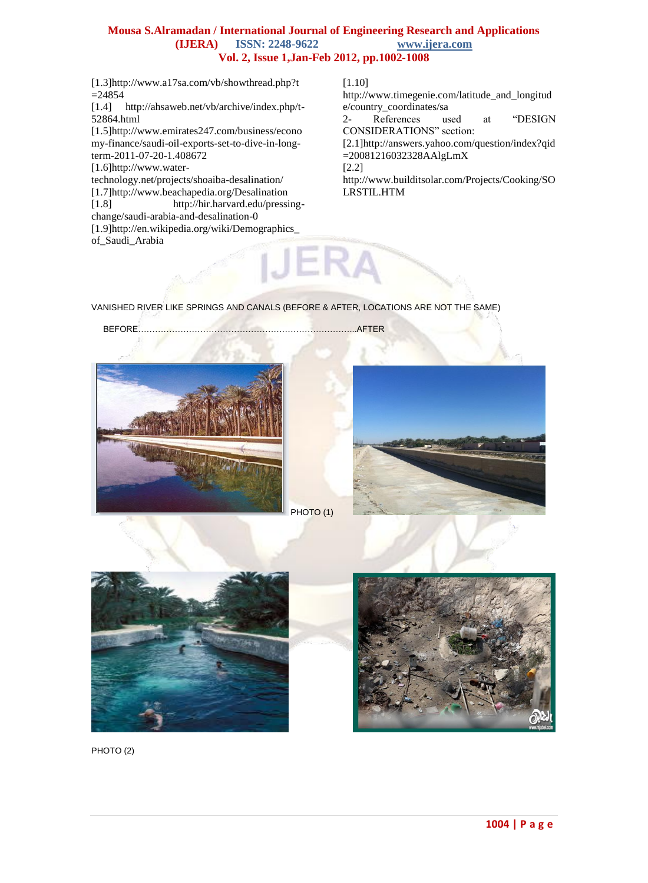[1.3[\]http://www.a17sa.com/vb/showthread.php?t](http://www.a17sa.com/vb/showthread.php?t=24854)  $=24854$ 

[1.4] http://ahsaweb.net/vb/archive/index.php/t-52864.html

[1.5[\]http://www.emirates247.com/business/econo](http://www.emirates247.com/business/economy-finance/saudi-oil-exports-set-to-dive-in-long-term-2011-07-20-1.408672) [my-finance/saudi-oil-exports-set-to-dive-in-long](http://www.emirates247.com/business/economy-finance/saudi-oil-exports-set-to-dive-in-long-term-2011-07-20-1.408672)[term-2011-07-20-1.408672](http://www.emirates247.com/business/economy-finance/saudi-oil-exports-set-to-dive-in-long-term-2011-07-20-1.408672)

[1.6[\]http://www.water-](http://www.water-technology.net/projects/shoaiba-desalination/)

[technology.net/projects/shoaiba-desalination/](http://www.water-technology.net/projects/shoaiba-desalination/)

[1.7[\]http://www.beachapedia.org/Desalination](http://www.beachapedia.org/Desalination)<br>[1.8] http://hir.harvard.edu/pressi [http://hir.harvard.edu/pressing-](http://hir.harvard.edu/pressing-change/saudi-arabia-and-desalination-0)

[change/saudi-arabia-and-desalination-0](http://hir.harvard.edu/pressing-change/saudi-arabia-and-desalination-0)

[1.9[\]http://en.wikipedia.org/wiki/Demographics\\_](http://en.wikipedia.org/wiki/Demographics_of_Saudi_Arabia) [of\\_Saudi\\_Arabia](http://en.wikipedia.org/wiki/Demographics_of_Saudi_Arabia)

#### [1.10]

http://www.timegenie.com/latitude\_and\_longitud e/country\_coordinates/sa

2- References used at "DESIGN CONSIDERATIONS" section:

[2.1[\]http://answers.yahoo.com/question/index?qid](http://answers.yahoo.com/question/index?qid=20081216032328AAlgLmX) [=20081216032328AAlgLmX](http://answers.yahoo.com/question/index?qid=20081216032328AAlgLmX)

[2.2]

http://www.builditsolar.com/Projects/Cooking/SO LRSTIL.HTM

VANISHED RIVER LIKE SPRINGS AND CANALS (BEFORE & AFTER, LOCATIONS ARE NOT THE SAME)

BEFORE…………………………………………………………………...AFTER



PHOTO (1)







PHOTO<sub>(2)</sub>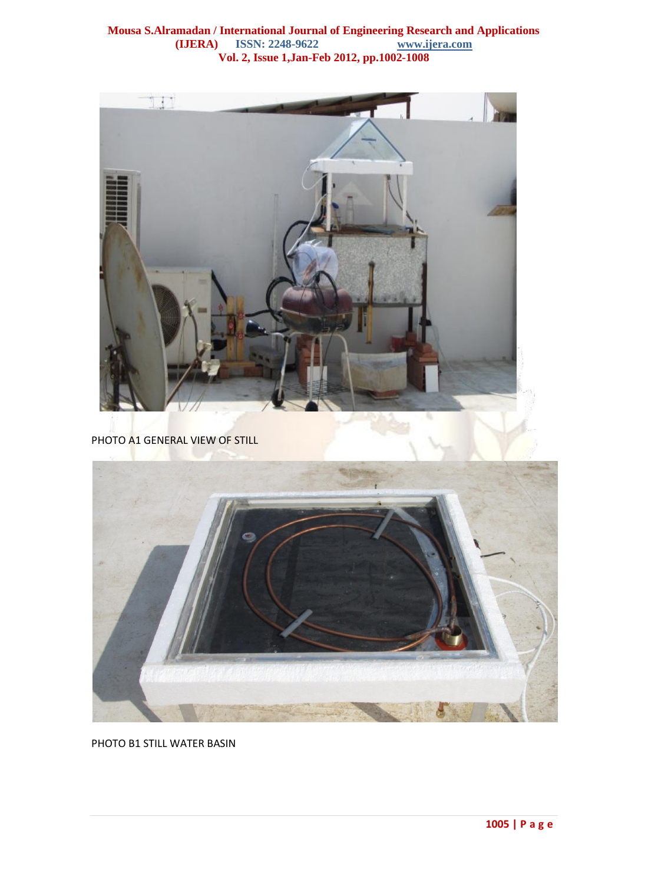

PHOTO B1 STILL WATER BASIN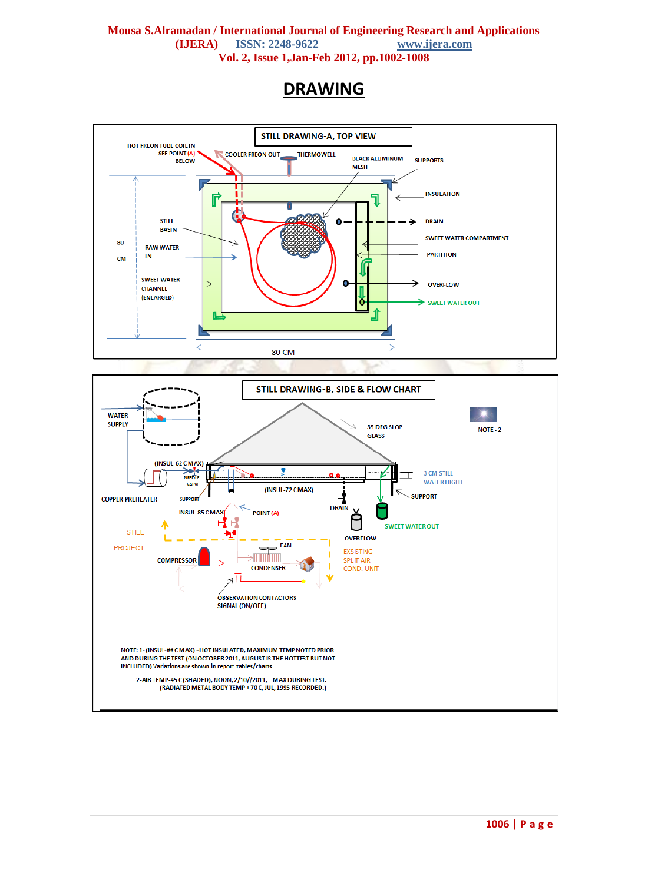## **DRAWING**

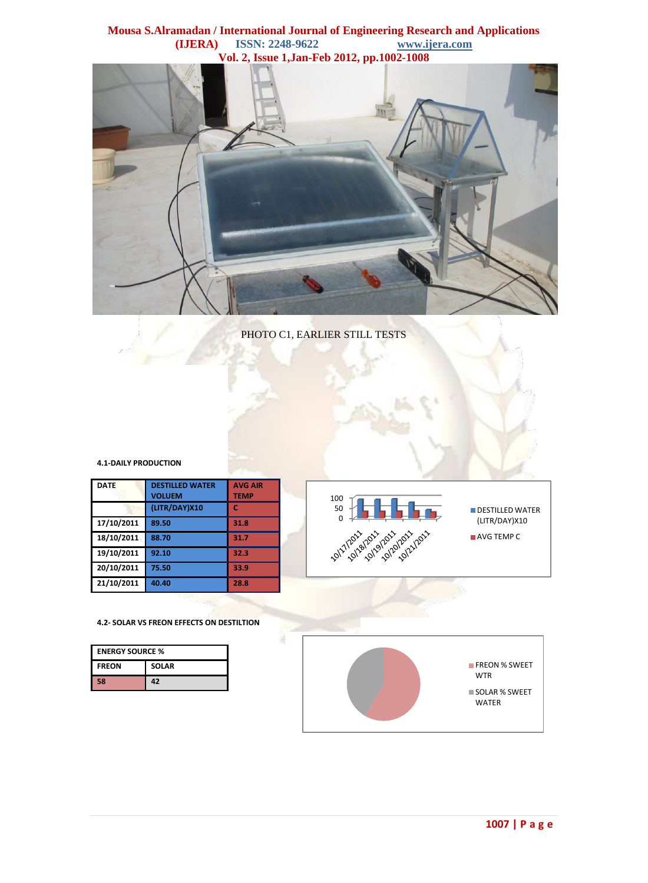

PHOTO C1, EARLIER STILL TESTS

#### **4.1-DAILY PRODUCTION**

| <b>DATE</b> | <b>DESTILLED WATER</b><br><b>VOLUEM</b> | <b>AVG AIR</b><br><b>TEMP</b> |  |
|-------------|-----------------------------------------|-------------------------------|--|
|             | (LITR/DAY)X10                           | c                             |  |
| 17/10/2011  | 89.50                                   | 31.8                          |  |
| 18/10/2011  | 88.70                                   | 31.7                          |  |
| 19/10/2011  | 92.10                                   | 32.3                          |  |
| 20/10/2011  | 75.50                                   | 33.9                          |  |
| 21/10/2011  | 40.40                                   | 28.8                          |  |



#### **4.2- SOLAR VS FREON EFFECTS ON DESTILTION**

| <b>ENERGY SOURCE %</b> |              |  |  |  |
|------------------------|--------------|--|--|--|
| <b>FREON</b>           | <b>SOLAR</b> |  |  |  |
| 58                     | 47           |  |  |  |